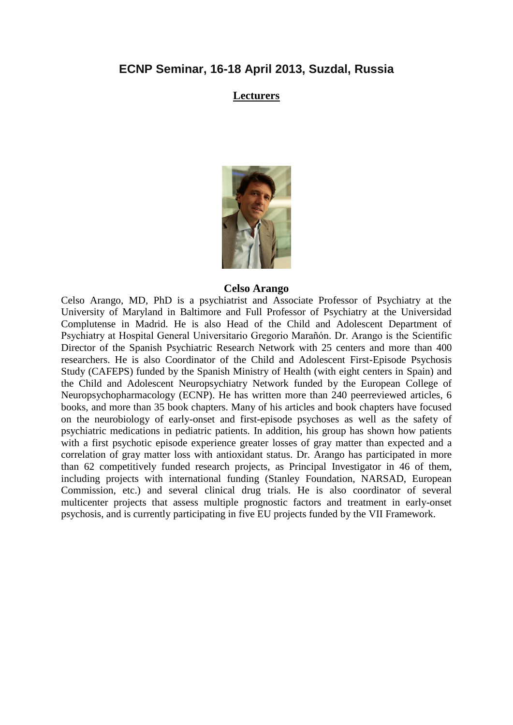# **ECNP Seminar, 16-18 April 2013, Suzdal, Russia**

### **Lecturers**



### **Celso Arango**

Celso Arango, MD, PhD is a psychiatrist and Associate Professor of Psychiatry at the University of Maryland in Baltimore and Full Professor of Psychiatry at the Universidad Complutense in Madrid. He is also Head of the Child and Adolescent Department of Psychiatry at Hospital General Universitario Gregorio Marañón. Dr. Arango is the Scientific Director of the Spanish Psychiatric Research Network with 25 centers and more than 400 researchers. He is also Coordinator of the Child and Adolescent First-Episode Psychosis Study (CAFEPS) funded by the Spanish Ministry of Health (with eight centers in Spain) and the Child and Adolescent Neuropsychiatry Network funded by the European College of Neuropsychopharmacology (ECNP). He has written more than 240 peerreviewed articles, 6 books, and more than 35 book chapters. Many of his articles and book chapters have focused on the neurobiology of early-onset and first-episode psychoses as well as the safety of psychiatric medications in pediatric patients. In addition, his group has shown how patients with a first psychotic episode experience greater losses of gray matter than expected and a correlation of gray matter loss with antioxidant status. Dr. Arango has participated in more than 62 competitively funded research projects, as Principal Investigator in 46 of them, including projects with international funding (Stanley Foundation, NARSAD, European Commission, etc.) and several clinical drug trials. He is also coordinator of several multicenter projects that assess multiple prognostic factors and treatment in early-onset psychosis, and is currently participating in five EU projects funded by the VII Framework.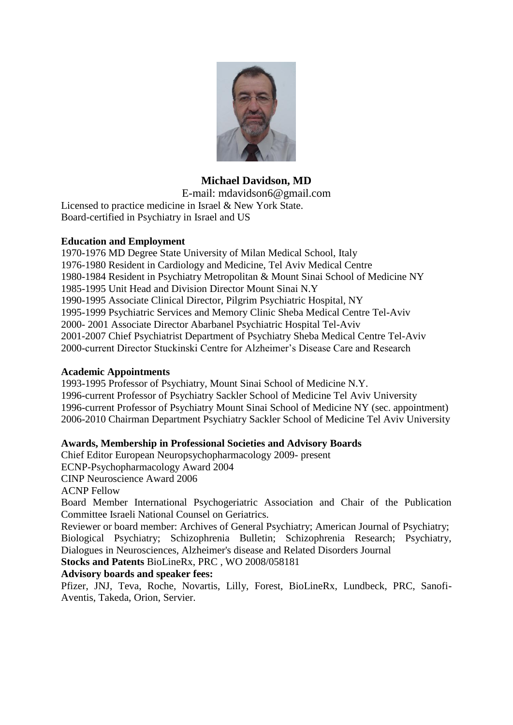

# **Michael Davidson, MD**

E-mail: mdavidson6@gmail.com Licensed to practice medicine in Israel & New York State. Board-certified in Psychiatry in Israel and US

### **Education and Employment**

1970-1976 MD Degree State University of Milan Medical School, Italy 1976-1980 Resident in Cardiology and Medicine, Tel Aviv Medical Centre 1980-1984 Resident in Psychiatry Metropolitan & Mount Sinai School of Medicine NY 1985-1995 Unit Head and Division Director Mount Sinai N.Y 1990-1995 Associate Clinical Director, Pilgrim Psychiatric Hospital, NY 1995-1999 Psychiatric Services and Memory Clinic Sheba Medical Centre Tel-Aviv 2000- 2001 Associate Director Abarbanel Psychiatric Hospital Tel-Aviv 2001-2007 Chief Psychiatrist Department of Psychiatry Sheba Medical Centre Tel-Aviv 2000-current Director Stuckinski Centre for Alzheimer's Disease Care and Research

### **Academic Appointments**

1993-1995 Professor of Psychiatry, Mount Sinai School of Medicine N.Y. 1996-current Professor of Psychiatry Sackler School of Medicine Tel Aviv University 1996-current Professor of Psychiatry Mount Sinai School of Medicine NY (sec. appointment) 2006-2010 Chairman Department Psychiatry Sackler School of Medicine Tel Aviv University

### **Awards, Membership in Professional Societies and Advisory Boards**

Chief Editor European Neuropsychopharmacology 2009- present

ECNP-Psychopharmacology Award 2004

CINP Neuroscience Award 2006

ACNP Fellow

Board Member International Psychogeriatric Association and Chair of the Publication Committee Israeli National Counsel on Geriatrics.

Reviewer or board member: Archives of General Psychiatry; American Journal of Psychiatry; Biological Psychiatry; Schizophrenia Bulletin; Schizophrenia Research; Psychiatry, Dialogues in Neurosciences, Alzheimer's disease and Related Disorders Journal

**Stocks and Patents** BioLineRx, PRC , WO 2008/058181

### **Advisory boards and speaker fees:**

Pfizer, JNJ, Teva, Roche, Novartis, Lilly, Forest, BioLineRx, Lundbeck, PRC, Sanofi-Aventis, Takeda, Orion, Servier.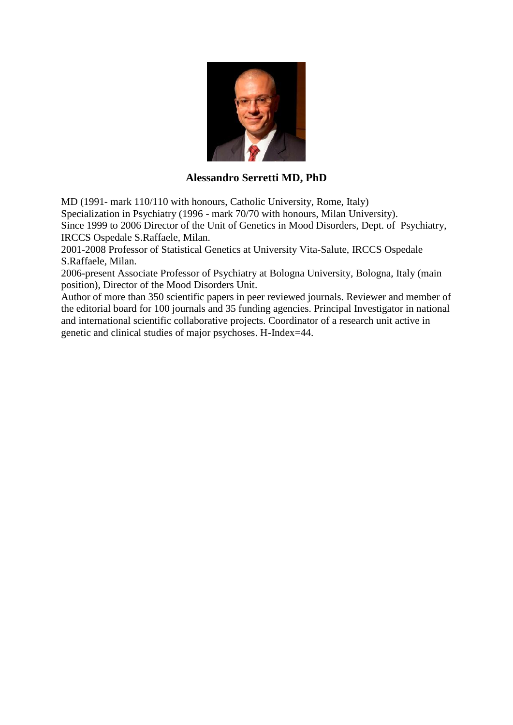

# **Alessandro Serretti MD, PhD**

MD (1991- mark 110/110 with honours, Catholic University, Rome, Italy) Specialization in Psychiatry (1996 - mark 70/70 with honours, Milan University). Since 1999 to 2006 Director of the Unit of Genetics in Mood Disorders, Dept. of Psychiatry, IRCCS Ospedale S.Raffaele, Milan.

2001-2008 Professor of Statistical Genetics at University Vita-Salute, IRCCS Ospedale S.Raffaele, Milan.

2006-present Associate Professor of Psychiatry at Bologna University, Bologna, Italy (main position), Director of the Mood Disorders Unit.

Author of more than 350 scientific papers in peer reviewed journals. Reviewer and member of the editorial board for 100 journals and 35 funding agencies. Principal Investigator in national and international scientific collaborative projects. Coordinator of a research unit active in genetic and clinical studies of major psychoses. H-Index=44.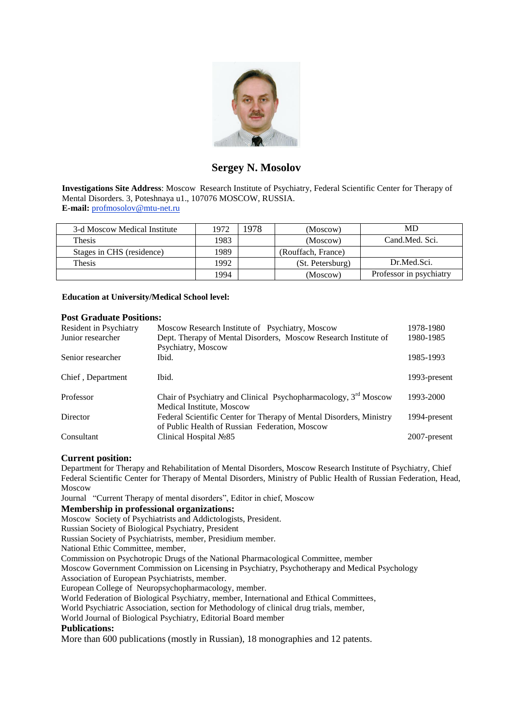

# **Sergey N. Mosolov**

**Investigations Site Address**: Moscow Research Institute of Psychiatry, Federal Scientific Center for Therapy of Mental Disorders. 3, Poteshnaya u1., 107076 MOSCOW, RUSSIA. **E-mail:** [profmosolov@mtu-net.ru](mailto:profmosolov@mtu-net.ru)

| 3-d Moscow Medical Institute | 1972 | 1978 | (Moscow)           | MD                      |
|------------------------------|------|------|--------------------|-------------------------|
| <b>Thesis</b>                | 1983 |      | (Moscow)           | Cand.Med. Sci.          |
| Stages in CHS (residence)    | 1989 |      | (Rouffach, France) |                         |
| Thesis                       | 1992 |      | (St. Petersburg)   | Dr.Med.Sci.             |
|                              | 1994 |      | (Moscow)           | Professor in psychiatry |

**Education at University/Medical School level:**

#### **Post Graduate Positions:**

| Resident in Psychiatry | Moscow Research Institute of Psychiatry, Moscow                                                                       | 1978-1980    |
|------------------------|-----------------------------------------------------------------------------------------------------------------------|--------------|
| Junior researcher      | Dept. Therapy of Mental Disorders, Moscow Research Institute of                                                       | 1980-1985    |
|                        | Psychiatry, Moscow                                                                                                    |              |
| Senior researcher      | Ibid.                                                                                                                 | 1985-1993    |
| Chief, Department      | Ibid.                                                                                                                 | 1993-present |
| Professor              | Chair of Psychiatry and Clinical Psychopharmacology, $3rd$ Moscow<br>Medical Institute, Moscow                        | 1993-2000    |
| Director               | Federal Scientific Center for Therapy of Mental Disorders, Ministry<br>of Public Health of Russian Federation, Moscow | 1994-present |
| Consultant             | Clinical Hospital $N285$                                                                                              | 2007-present |

#### **Current position:**

Department for Therapy and Rehabilitation of Mental Disorders, Moscow Research Institute of Psychiatry, Chief Federal Scientific Center for Therapy of Mental Disorders, Ministry of Public Health of Russian Federation, Head, Moscow

Journal "Current Therapy of mental disorders", Editor in chief, Moscow

#### **Membership in professional organizations:**

Moscow Society of Psychiatrists and Addictologists, President.

Russian Society of Biological Psychiatry, President

Russian Society of Psychiatrists, member, Presidium member.

National Ethic Committee, member,

Commission on Psychotropic Drugs of the National Pharmacological Committee, member

Moscow Government Commission on Licensing in Psychiatry, Psychotherapy and Medical Psychology

Association of European Psychiatrists, member.

European College of Neuropsychopharmacology, member.

World Federation of Biological Psychiatry, member, International and Ethical Committees,

World Psychiatric Association, section for Methodology of clinical drug trials, member,

World Journal of Biological Psychiatry, Editorial Board member

#### **Publications:**

More than 600 publications (mostly in Russian), 18 monographies and 12 patents.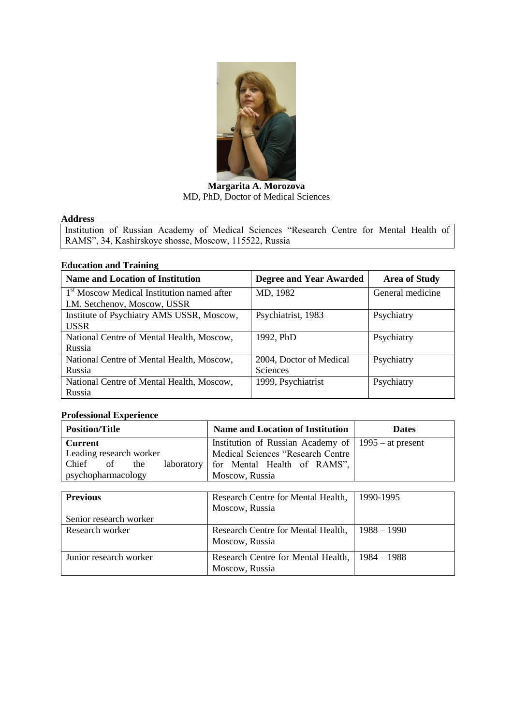

**Margarita A. Morozova**  MD, PhD, Doctor of Medical Sciences

### **Address**

Institution of Russian Academy of Medical Sciences "Research Centre for Mental Health of RAMS", 34, Kashirskoye shosse, Moscow, 115522, Russia

### **Education and Training**

| <b>Name and Location of Institution</b>                | <b>Degree and Year Awarded</b> | <b>Area of Study</b> |
|--------------------------------------------------------|--------------------------------|----------------------|
| 1 <sup>st</sup> Moscow Medical Institution named after | MD, 1982                       | General medicine     |
| I.M. Setchenov, Moscow, USSR                           |                                |                      |
| Institute of Psychiatry AMS USSR, Moscow,              | Psychiatrist, 1983             | Psychiatry           |
| <b>USSR</b>                                            |                                |                      |
| National Centre of Mental Health, Moscow,              | 1992, PhD                      | Psychiatry           |
| Russia                                                 |                                |                      |
| National Centre of Mental Health, Moscow,              | 2004, Doctor of Medical        | Psychiatry           |
| Russia                                                 | Sciences                       |                      |
| National Centre of Mental Health, Moscow,              | 1999, Psychiatrist             | Psychiatry           |
| Russia                                                 |                                |                      |

### **Professional Experience**

| Position/Title                                           | <b>Name and Location of Institution</b>                          | <b>Dates</b> |
|----------------------------------------------------------|------------------------------------------------------------------|--------------|
| Current                                                  | Institution of Russian Academy of $ 1995 -$ at present           |              |
| Leading research worker<br>Chief of<br>laboratory<br>the | Medical Sciences "Research Centre<br>for Mental Health of RAMS", |              |
| psychopharmacology                                       | Moscow, Russia                                                   |              |

| <b>Previous</b>        | Research Centre for Mental Health,<br>Moscow, Russia | 1990-1995     |
|------------------------|------------------------------------------------------|---------------|
| Senior research worker |                                                      |               |
| Research worker        | Research Centre for Mental Health,<br>Moscow, Russia | $1988 - 1990$ |
| Junior research worker | Research Centre for Mental Health,<br>Moscow, Russia | $1984 - 1988$ |